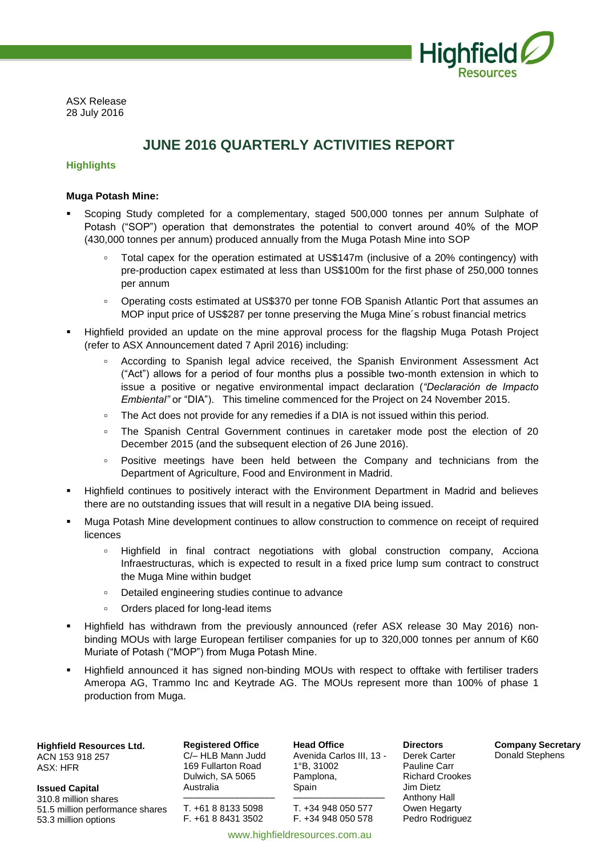

ASX Release 28 July 2016

### **JUNE 2016 QUARTERLY ACTIVITIES REPORT**

#### **Highlights**

#### **Muga Potash Mine:**

- Scoping Study completed for a complementary, staged 500,000 tonnes per annum Sulphate of Potash ("SOP") operation that demonstrates the potential to convert around 40% of the MOP (430,000 tonnes per annum) produced annually from the Muga Potash Mine into SOP
	- Total capex for the operation estimated at US\$147m (inclusive of a 20% contingency) with pre-production capex estimated at less than US\$100m for the first phase of 250,000 tonnes per annum
	- Operating costs estimated at US\$370 per tonne FOB Spanish Atlantic Port that assumes an MOP input price of US\$287 per tonne preserving the Muga Mine´s robust financial metrics
- Highfield provided an update on the mine approval process for the flagship Muga Potash Project (refer to ASX Announcement dated 7 April 2016) including:
	- According to Spanish legal advice received, the Spanish Environment Assessment Act ("Act") allows for a period of four months plus a possible two-month extension in which to issue a positive or negative environmental impact declaration (*"Declaración de Impacto Embiental"* or "DIA"). This timeline commenced for the Project on 24 November 2015.
	- The Act does not provide for any remedies if a DIA is not issued within this period.
	- The Spanish Central Government continues in caretaker mode post the election of 20 December 2015 (and the subsequent election of 26 June 2016).
	- Positive meetings have been held between the Company and technicians from the Department of Agriculture, Food and Environment in Madrid.
- Highfield continues to positively interact with the Environment Department in Madrid and believes there are no outstanding issues that will result in a negative DIA being issued.
- Muga Potash Mine development continues to allow construction to commence on receipt of required licences
	- Highfield in final contract negotiations with global construction company, Acciona Infraestructuras, which is expected to result in a fixed price lump sum contract to construct the Muga Mine within budget
	- Detailed engineering studies continue to advance
	- Orders placed for long-lead items
- Highfield has withdrawn from the previously announced (refer ASX release 30 May 2016) nonbinding MOUs with large European fertiliser companies for up to 320,000 tonnes per annum of K60 Muriate of Potash ("MOP") from Muga Potash Mine.
- Highfield announced it has signed non-binding MOUs with respect to offtake with fertiliser traders Ameropa AG, Trammo Inc and Keytrade AG. The MOUs represent more than 100% of phase 1 production from Muga.

**Highfield Resources Ltd.**

ACN 153 918 257 ASX: HFR

**Issued Capital** 310.8 million shares 51.5 million performance shares 53.3 million options

**Registered Office** C/– HLB Mann Judd 169 Fullarton Road Dulwich, SA 5065 Australia

–––––––––––––––––– T. +61 8 8133 5098 F. +61 8 8431 3502

**Head Office** Avenida Carlos III, 13 - 1°B, 31002 Pamplona, Spain –––––––––––––––––– T. +34 948 050 577

F. +34 948 050 578

Derek Carter Pauline Carr Richard Crookes Jim Dietz Anthony Hall Owen Hegarty Pedro Rodriguez

**Directors**

**Company Secretary** Donald Stephens

www.highfieldresources.com.au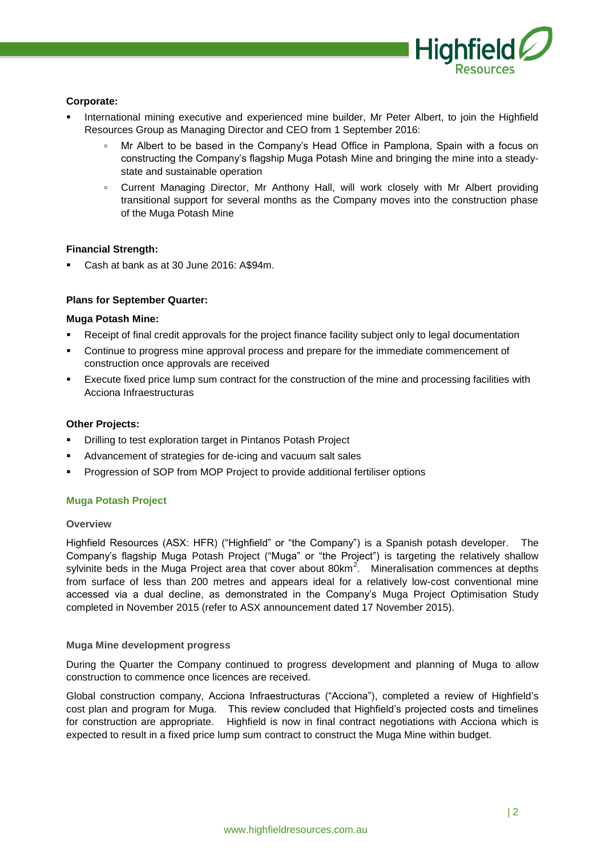

#### **Corporate:**

- International mining executive and experienced mine builder, Mr Peter Albert, to join the Highfield Resources Group as Managing Director and CEO from 1 September 2016:
	- Mr Albert to be based in the Company's Head Office in Pamplona, Spain with a focus on constructing the Company's flagship Muga Potash Mine and bringing the mine into a steadystate and sustainable operation
	- Current Managing Director, Mr Anthony Hall, will work closely with Mr Albert providing transitional support for several months as the Company moves into the construction phase of the Muga Potash Mine

#### **Financial Strength:**

Cash at bank as at 30 June 2016: A\$94m.

#### **Plans for September Quarter:**

#### **Muga Potash Mine:**

- Receipt of final credit approvals for the project finance facility subject only to legal documentation
- Continue to progress mine approval process and prepare for the immediate commencement of construction once approvals are received
- Execute fixed price lump sum contract for the construction of the mine and processing facilities with Acciona Infraestructuras

#### **Other Projects:**

- Drilling to test exploration target in Pintanos Potash Project
- Advancement of strategies for de-icing and vacuum salt sales
- Progression of SOP from MOP Project to provide additional fertiliser options

#### **Muga Potash Project**

#### **Overview**

Highfield Resources (ASX: HFR) ("Highfield" or "the Company") is a Spanish potash developer. The Company's flagship Muga Potash Project ("Muga" or "the Project") is targeting the relatively shallow sylvinite beds in the Muga Project area that cover about 80km<sup>2</sup>. Mineralisation commences at depths from surface of less than 200 metres and appears ideal for a relatively low-cost conventional mine accessed via a dual decline, as demonstrated in the Company's Muga Project Optimisation Study completed in November 2015 (refer to ASX announcement dated 17 November 2015).

#### **Muga Mine development progress**

During the Quarter the Company continued to progress development and planning of Muga to allow construction to commence once licences are received.

Global construction company, Acciona Infraestructuras ("Acciona"), completed a review of Highfield's cost plan and program for Muga. This review concluded that Highfield's projected costs and timelines for construction are appropriate. Highfield is now in final contract negotiations with Acciona which is expected to result in a fixed price lump sum contract to construct the Muga Mine within budget.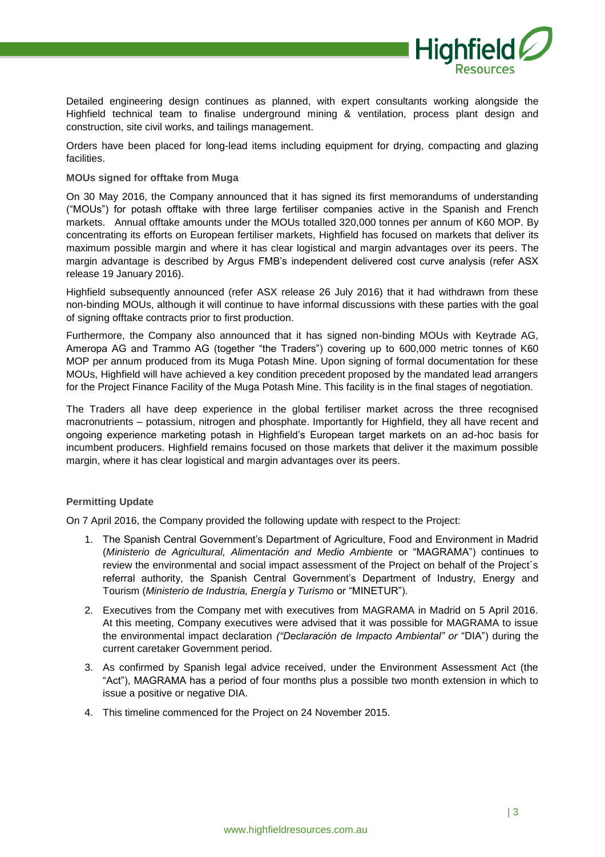

Detailed engineering design continues as planned, with expert consultants working alongside the Highfield technical team to finalise underground mining & ventilation, process plant design and construction, site civil works, and tailings management.

Orders have been placed for long-lead items including equipment for drying, compacting and glazing facilities.

#### **MOUs signed for offtake from Muga**

On 30 May 2016, the Company announced that it has signed its first memorandums of understanding ("MOUs") for potash offtake with three large fertiliser companies active in the Spanish and French markets. Annual offtake amounts under the MOUs totalled 320,000 tonnes per annum of K60 MOP. By concentrating its efforts on European fertiliser markets, Highfield has focused on markets that deliver its maximum possible margin and where it has clear logistical and margin advantages over its peers. The margin advantage is described by Argus FMB's independent delivered cost curve analysis (refer ASX release 19 January 2016).

Highfield subsequently announced (refer ASX release 26 July 2016) that it had withdrawn from these non-binding MOUs, although it will continue to have informal discussions with these parties with the goal of signing offtake contracts prior to first production.

Furthermore, the Company also announced that it has signed non-binding MOUs with Keytrade AG, Ameropa AG and Trammo AG (together "the Traders") covering up to 600,000 metric tonnes of K60 MOP per annum produced from its Muga Potash Mine. Upon signing of formal documentation for these MOUs, Highfield will have achieved a key condition precedent proposed by the mandated lead arrangers for the Project Finance Facility of the Muga Potash Mine. This facility is in the final stages of negotiation.

The Traders all have deep experience in the global fertiliser market across the three recognised macronutrients – potassium, nitrogen and phosphate. Importantly for Highfield, they all have recent and ongoing experience marketing potash in Highfield's European target markets on an ad-hoc basis for incumbent producers. Highfield remains focused on those markets that deliver it the maximum possible margin, where it has clear logistical and margin advantages over its peers.

#### **Permitting Update**

On 7 April 2016, the Company provided the following update with respect to the Project:

- 1. The Spanish Central Government's Department of Agriculture, Food and Environment in Madrid (*Ministerio de Agricultural, Alimentación and Medio Ambiente* or "MAGRAMA") continues to review the environmental and social impact assessment of the Project on behalf of the Project´s referral authority, the Spanish Central Government's Department of Industry, Energy and Tourism (*Ministerio de Industria, Energía y Turismo* or "MINETUR").
- 2. Executives from the Company met with executives from MAGRAMA in Madrid on 5 April 2016. At this meeting, Company executives were advised that it was possible for MAGRAMA to issue the environmental impact declaration *("Declaración de Impacto Ambiental" or* "DIA") during the current caretaker Government period.
- 3. As confirmed by Spanish legal advice received, under the Environment Assessment Act (the "Act"), MAGRAMA has a period of four months plus a possible two month extension in which to issue a positive or negative DIA.
- 4. This timeline commenced for the Project on 24 November 2015.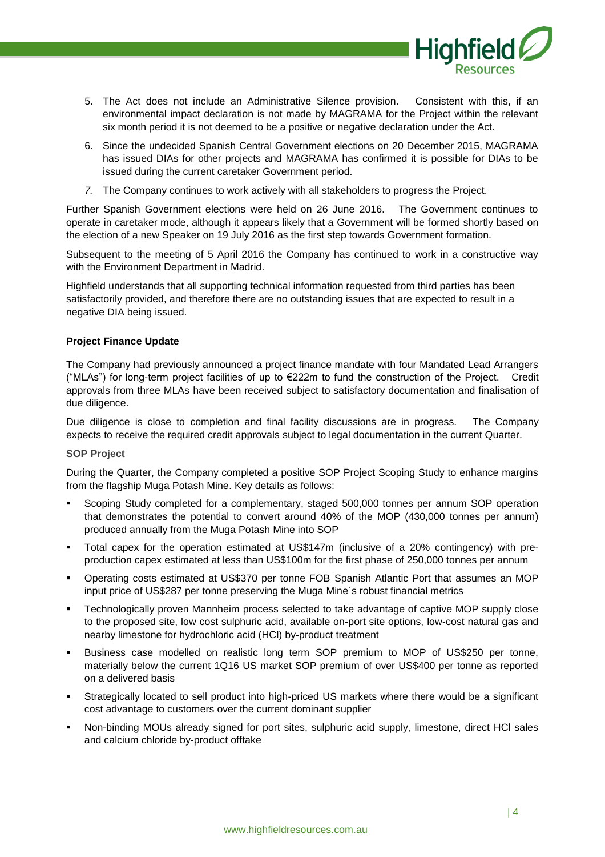

- 5. The Act does not include an Administrative Silence provision. Consistent with this, if an environmental impact declaration is not made by MAGRAMA for the Project within the relevant six month period it is not deemed to be a positive or negative declaration under the Act.
- 6. Since the undecided Spanish Central Government elections on 20 December 2015, MAGRAMA has issued DIAs for other projects and MAGRAMA has confirmed it is possible for DIAs to be issued during the current caretaker Government period.
- *7.* The Company continues to work actively with all stakeholders to progress the Project.

Further Spanish Government elections were held on 26 June 2016. The Government continues to operate in caretaker mode, although it appears likely that a Government will be formed shortly based on the election of a new Speaker on 19 July 2016 as the first step towards Government formation.

Subsequent to the meeting of 5 April 2016 the Company has continued to work in a constructive way with the Environment Department in Madrid.

Highfield understands that all supporting technical information requested from third parties has been satisfactorily provided, and therefore there are no outstanding issues that are expected to result in a negative DIA being issued.

#### **Project Finance Update**

The Company had previously announced a project finance mandate with four Mandated Lead Arrangers ("MLAs") for long-term project facilities of up to €222m to fund the construction of the Project. Credit approvals from three MLAs have been received subject to satisfactory documentation and finalisation of due diligence.

Due diligence is close to completion and final facility discussions are in progress. The Company expects to receive the required credit approvals subject to legal documentation in the current Quarter.

#### **SOP Project**

During the Quarter, the Company completed a positive SOP Project Scoping Study to enhance margins from the flagship Muga Potash Mine. Key details as follows:

- Scoping Study completed for a complementary, staged 500,000 tonnes per annum SOP operation that demonstrates the potential to convert around 40% of the MOP (430,000 tonnes per annum) produced annually from the Muga Potash Mine into SOP
- Total capex for the operation estimated at US\$147m (inclusive of a 20% contingency) with preproduction capex estimated at less than US\$100m for the first phase of 250,000 tonnes per annum
- Operating costs estimated at US\$370 per tonne FOB Spanish Atlantic Port that assumes an MOP input price of US\$287 per tonne preserving the Muga Mine´s robust financial metrics
- Technologically proven Mannheim process selected to take advantage of captive MOP supply close to the proposed site, low cost sulphuric acid, available on-port site options, low-cost natural gas and nearby limestone for hydrochloric acid (HCl) by-product treatment
- Business case modelled on realistic long term SOP premium to MOP of US\$250 per tonne, materially below the current 1Q16 US market SOP premium of over US\$400 per tonne as reported on a delivered basis
- Strategically located to sell product into high-priced US markets where there would be a significant cost advantage to customers over the current dominant supplier
- Non-binding MOUs already signed for port sites, sulphuric acid supply, limestone, direct HCl sales and calcium chloride by-product offtake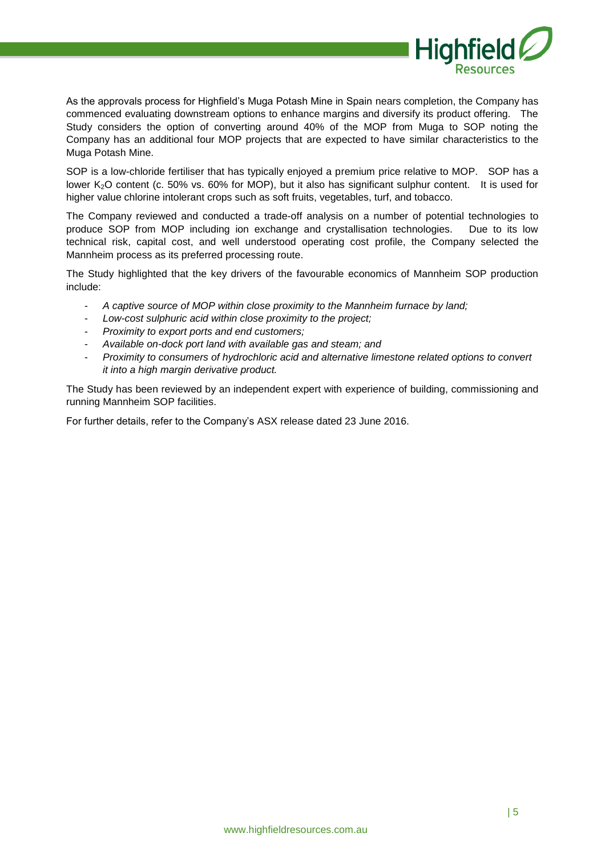

As the approvals process for Highfield's Muga Potash Mine in Spain nears completion, the Company has commenced evaluating downstream options to enhance margins and diversify its product offering. The Study considers the option of converting around 40% of the MOP from Muga to SOP noting the Company has an additional four MOP projects that are expected to have similar characteristics to the Muga Potash Mine.

SOP is a low-chloride fertiliser that has typically enjoyed a premium price relative to MOP. SOP has a lower K<sub>2</sub>O content (c. 50% vs. 60% for MOP), but it also has significant sulphur content. It is used for higher value chlorine intolerant crops such as soft fruits, vegetables, turf, and tobacco.

The Company reviewed and conducted a trade-off analysis on a number of potential technologies to produce SOP from MOP including ion exchange and crystallisation technologies. Due to its low technical risk, capital cost, and well understood operating cost profile, the Company selected the Mannheim process as its preferred processing route.

The Study highlighted that the key drivers of the favourable economics of Mannheim SOP production include:

- *A captive source of MOP within close proximity to the Mannheim furnace by land;*
- *Low-cost sulphuric acid within close proximity to the project;*
- *Proximity to export ports and end customers;*
- *Available on-dock port land with available gas and steam; and*
- *Proximity to consumers of hydrochloric acid and alternative limestone related options to convert it into a high margin derivative product.*

The Study has been reviewed by an independent expert with experience of building, commissioning and running Mannheim SOP facilities.

For further details, refer to the Company's ASX release dated 23 June 2016.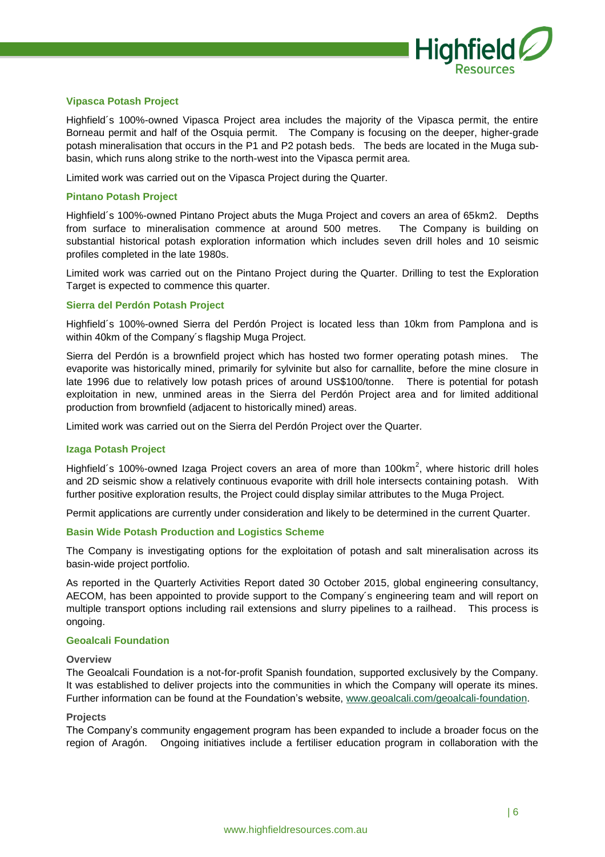

#### **Vipasca Potash Project**

Highfield´s 100%-owned Vipasca Project area includes the majority of the Vipasca permit, the entire Borneau permit and half of the Osquia permit. The Company is focusing on the deeper, higher-grade potash mineralisation that occurs in the P1 and P2 potash beds. The beds are located in the Muga subbasin, which runs along strike to the north-west into the Vipasca permit area.

Limited work was carried out on the Vipasca Project during the Quarter.

#### **Pintano Potash Project**

Highfield´s 100%-owned Pintano Project abuts the Muga Project and covers an area of 65km2. Depths from surface to mineralisation commence at around 500 metres. The Company is building on substantial historical potash exploration information which includes seven drill holes and 10 seismic profiles completed in the late 1980s.

Limited work was carried out on the Pintano Project during the Quarter. Drilling to test the Exploration Target is expected to commence this quarter.

#### **Sierra del Perdón Potash Project**

Highfield´s 100%-owned Sierra del Perdón Project is located less than 10km from Pamplona and is within 40km of the Company´s flagship Muga Project.

Sierra del Perdón is a brownfield project which has hosted two former operating potash mines. The evaporite was historically mined, primarily for sylvinite but also for carnallite, before the mine closure in late 1996 due to relatively low potash prices of around US\$100/tonne. There is potential for potash exploitation in new, unmined areas in the Sierra del Perdón Project area and for limited additional production from brownfield (adjacent to historically mined) areas.

Limited work was carried out on the Sierra del Perdón Project over the Quarter.

#### **Izaga Potash Project**

Highfield's 100%-owned Izaga Project covers an area of more than 100km<sup>2</sup>, where historic drill holes and 2D seismic show a relatively continuous evaporite with drill hole intersects containing potash. With further positive exploration results, the Project could display similar attributes to the Muga Project.

Permit applications are currently under consideration and likely to be determined in the current Quarter.

#### **Basin Wide Potash Production and Logistics Scheme**

The Company is investigating options for the exploitation of potash and salt mineralisation across its basin-wide project portfolio.

As reported in the Quarterly Activities Report dated 30 October 2015, global engineering consultancy, AECOM, has been appointed to provide support to the Company´s engineering team and will report on multiple transport options including rail extensions and slurry pipelines to a railhead. This process is ongoing.

#### **Geoalcali Foundation**

#### **Overview**

The Geoalcali Foundation is a not-for-profit Spanish foundation, supported exclusively by the Company. It was established to deliver projects into the communities in which the Company will operate its mines. Further information can be found at the Foundation's website, [www.geoalcali.com/geoalcali-foundation.](http://www.geoalcali.com/geoalcali-foundation)

#### **Projects**

The Company's community engagement program has been expanded to include a broader focus on the region of Aragón. Ongoing initiatives include a fertiliser education program in collaboration with the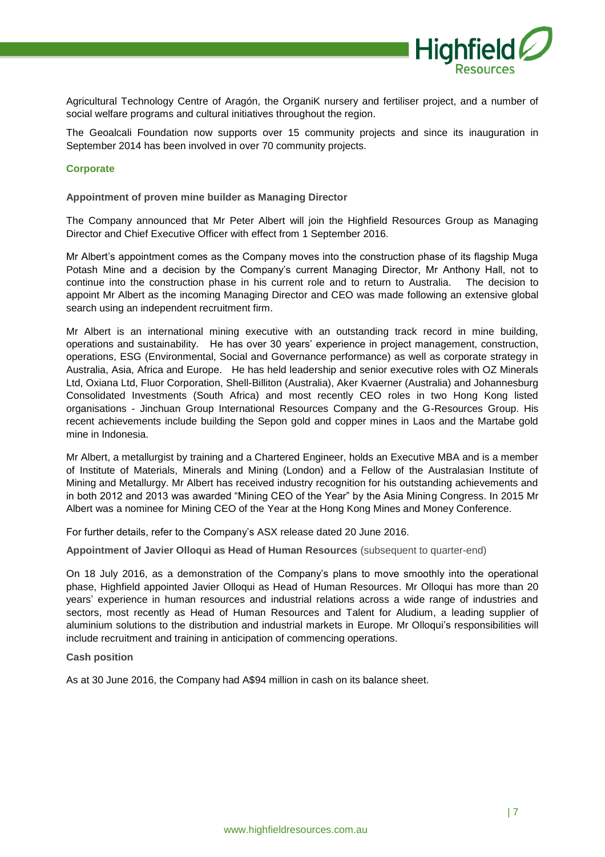

Agricultural Technology Centre of Aragón, the OrganiK nursery and fertiliser project, and a number of social welfare programs and cultural initiatives throughout the region.

The Geoalcali Foundation now supports over 15 community projects and since its inauguration in September 2014 has been involved in over 70 community projects.

#### **Corporate**

**Appointment of proven mine builder as Managing Director**

The Company announced that Mr Peter Albert will join the Highfield Resources Group as Managing Director and Chief Executive Officer with effect from 1 September 2016.

Mr Albert's appointment comes as the Company moves into the construction phase of its flagship Muga Potash Mine and a decision by the Company's current Managing Director, Mr Anthony Hall, not to continue into the construction phase in his current role and to return to Australia. The decision to appoint Mr Albert as the incoming Managing Director and CEO was made following an extensive global search using an independent recruitment firm.

Mr Albert is an international mining executive with an outstanding track record in mine building, operations and sustainability. He has over 30 years' experience in project management, construction, operations, ESG (Environmental, Social and Governance performance) as well as corporate strategy in Australia, Asia, Africa and Europe. He has held leadership and senior executive roles with OZ Minerals Ltd, Oxiana Ltd, Fluor Corporation, Shell-Billiton (Australia), Aker Kvaerner (Australia) and Johannesburg Consolidated Investments (South Africa) and most recently CEO roles in two Hong Kong listed organisations - Jinchuan Group International Resources Company and the G-Resources Group. His recent achievements include building the Sepon gold and copper mines in Laos and the Martabe gold mine in Indonesia.

Mr Albert, a metallurgist by training and a Chartered Engineer, holds an Executive MBA and is a member of Institute of Materials, Minerals and Mining (London) and a Fellow of the Australasian Institute of Mining and Metallurgy. Mr Albert has received industry recognition for his outstanding achievements and in both 2012 and 2013 was awarded "Mining CEO of the Year" by the Asia Mining Congress. In 2015 Mr Albert was a nominee for Mining CEO of the Year at the Hong Kong Mines and Money Conference.

For further details, refer to the Company's ASX release dated 20 June 2016.

**Appointment of Javier Olloqui as Head of Human Resources** (subsequent to quarter-end)

On 18 July 2016, as a demonstration of the Company's plans to move smoothly into the operational phase, Highfield appointed Javier Olloqui as Head of Human Resources. Mr Olloqui has more than 20 years' experience in human resources and industrial relations across a wide range of industries and sectors, most recently as Head of Human Resources and Talent for Aludium, a leading supplier of aluminium solutions to the distribution and industrial markets in Europe. Mr Olloqui's responsibilities will include recruitment and training in anticipation of commencing operations.

**Cash position**

As at 30 June 2016, the Company had A\$94 million in cash on its balance sheet.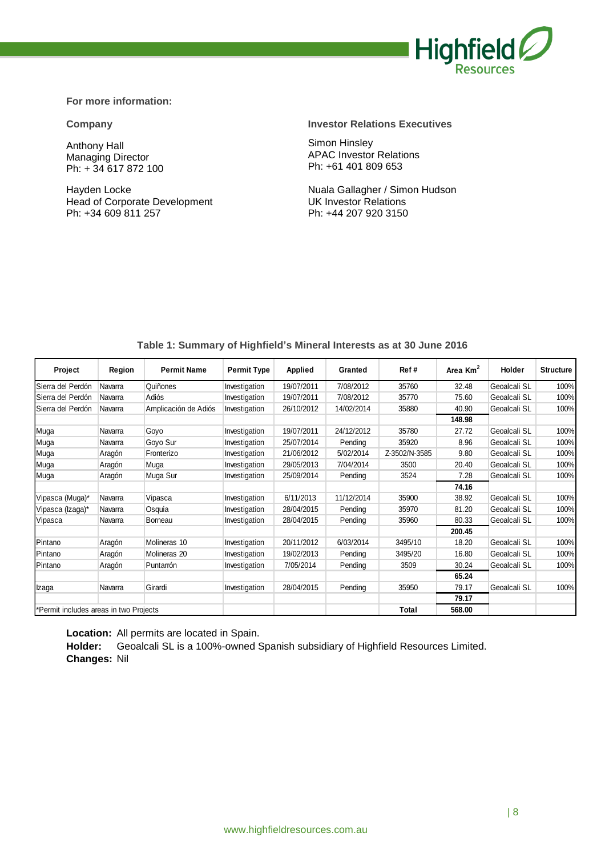

#### **For more information:**

Anthony Hall Managing Director Ph: + 34 617 872 100

Hayden Locke Head of Corporate Development Ph: +34 609 811 257

#### **Company Investor Relations Executives**

Simon Hinsley APAC Investor Relations Ph: +61 401 809 653

Nuala Gallagher / Simon Hudson UK Investor Relations Ph: +44 207 920 3150

| Project                                | Region  | <b>Permit Name</b>   | <b>Permit Type</b> | <b>Applied</b> | Granted    | Ref#          | Area Km <sup>2</sup> | Holder       | <b>Structure</b> |
|----------------------------------------|---------|----------------------|--------------------|----------------|------------|---------------|----------------------|--------------|------------------|
| Sierra del Perdón                      | Navarra | Quiñones             | Investigation      | 19/07/2011     | 7/08/2012  | 35760         | 32.48                | Geoalcali SL | 100%             |
| Sierra del Perdón                      | Navarra | Adiós                | Investigation      | 19/07/2011     | 7/08/2012  | 35770         | 75.60                | Geoalcali SL | 100%             |
| Sierra del Perdón                      | Navarra | Amplicación de Adiós | Investigation      | 26/10/2012     | 14/02/2014 | 35880         | 40.90                | Geoalcali SL | 100%             |
|                                        |         |                      |                    |                |            |               | 148.98               |              |                  |
| Muga                                   | Navarra | Goyo                 | Investigation      | 19/07/2011     | 24/12/2012 | 35780         | 27.72                | Geoalcali SL | 100%             |
| Muga                                   | Navarra | Goyo Sur             | Investigation      | 25/07/2014     | Pending    | 35920         | 8.96                 | Geoalcali SL | 100%             |
| Muga                                   | Aragón  | Fronterizo           | Investigation      | 21/06/2012     | 5/02/2014  | Z-3502/N-3585 | 9.80                 | Geoalcali SL | 100%             |
| Muga                                   | Aragón  | Muga                 | Investigation      | 29/05/2013     | 7/04/2014  | 3500          | 20.40                | Geoalcali SL | 100%             |
| Muga                                   | Aragón  | Muga Sur             | Investigation      | 25/09/2014     | Pending    | 3524          | 7.28                 | Geoalcali SL | 100%             |
|                                        |         |                      |                    |                |            |               | 74.16                |              |                  |
| Vipasca (Muga)*                        | Navarra | Vipasca              | Investigation      | 6/11/2013      | 11/12/2014 | 35900         | 38.92                | Geoalcali SL | 100%             |
| Vipasca (Izaga)*                       | Navarra | Osquia               | Investigation      | 28/04/2015     | Pending    | 35970         | 81.20                | Geoalcali SL | 100%             |
| Vipasca                                | Navarra | Borneau              | Investigation      | 28/04/2015     | Pending    | 35960         | 80.33                | Geoalcali SL | 100%             |
|                                        |         |                      |                    |                |            |               | 200.45               |              |                  |
| Pintano                                | Aragón  | Molineras 10         | Investigation      | 20/11/2012     | 6/03/2014  | 3495/10       | 18.20                | Geoalcali SL | 100%             |
| Pintano                                | Aragón  | Molineras 20         | Investigation      | 19/02/2013     | Pending    | 3495/20       | 16.80                | Geoalcali SL | 100%             |
| Pintano                                | Aragón  | Puntarrón            | Investigation      | 7/05/2014      | Pending    | 3509          | 30.24                | Geoalcali SL | 100%             |
|                                        |         |                      |                    |                |            |               | 65.24                |              |                  |
| Izaga                                  | Navarra | Girardi              | Investigation      | 28/04/2015     | Pending    | 35950         | 79.17                | Geoalcali SL | 100%             |
|                                        |         |                      |                    |                |            |               | 79.17                |              |                  |
| *Permit includes areas in two Projects |         |                      |                    |                |            | Total         | 568.00               |              |                  |

#### **Table 1: Summary of Highfield's Mineral Interests as at 30 June 2016**

**Location:** All permits are located in Spain.

**Holder:** Geoalcali SL is a 100%-owned Spanish subsidiary of Highfield Resources Limited. **Changes:** Nil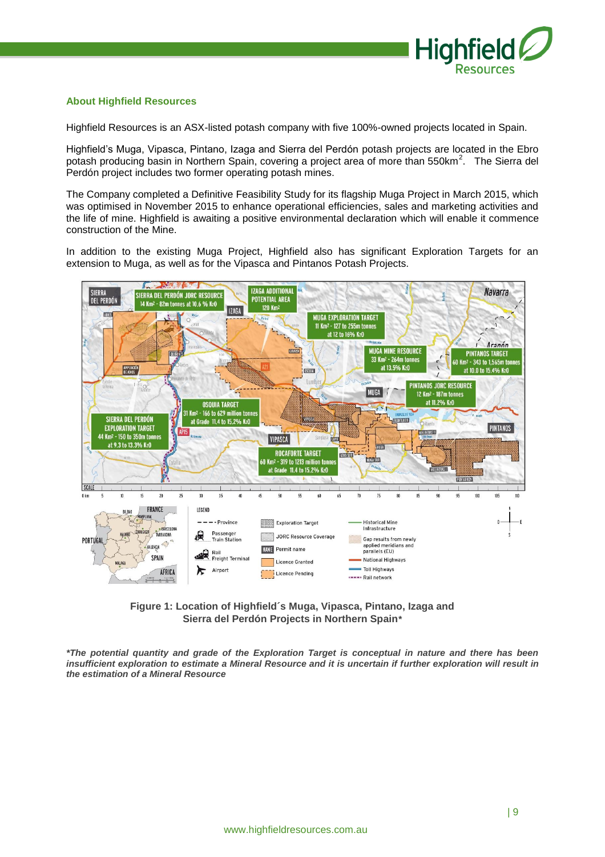

#### **About Highfield Resources**

Highfield Resources is an ASX-listed potash company with five 100%-owned projects located in Spain.

Highfield's Muga, Vipasca, Pintano, Izaga and Sierra del Perdón potash projects are located in the Ebro potash producing basin in Northern Spain, covering a project area of more than 550km<sup>2</sup>. The Sierra del Perdón project includes two former operating potash mines.

The Company completed a Definitive Feasibility Study for its flagship Muga Project in March 2015, which was optimised in November 2015 to enhance operational efficiencies, sales and marketing activities and the life of mine. Highfield is awaiting a positive environmental declaration which will enable it commence construction of the Mine.

In addition to the existing Muga Project, Highfield also has significant Exploration Targets for an extension to Muga, as well as for the Vipasca and Pintanos Potash Projects.



**Figure 1: Location of Highfield´s Muga, Vipasca, Pintano, Izaga and Sierra del Perdón Projects in Northern Spain***\**

*\*The potential quantity and grade of the Exploration Target is conceptual in nature and there has been insufficient exploration to estimate a Mineral Resource and it is uncertain if further exploration will result in the estimation of a Mineral Resource*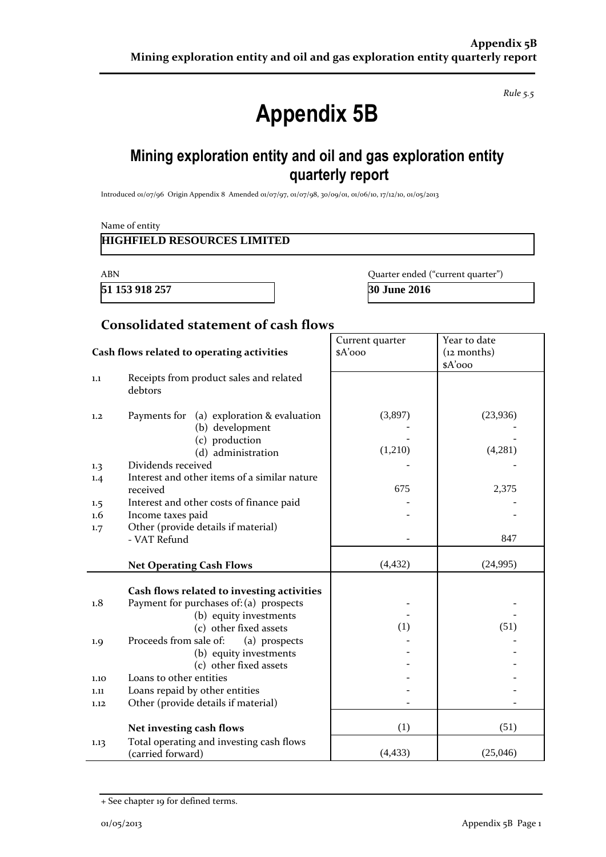*Rule 5.5*

# **Appendix 5B**

### **Mining exploration entity and oil and gas exploration entity quarterly report**

Introduced 01/07/96 Origin Appendix 8 Amended 01/07/97, 01/07/98, 30/09/01, 01/06/10, 17/12/10, 01/05/2013

| <b>ABN</b>                  |                                                                       |                            | Quarter ended ("current quarter") |  |
|-----------------------------|-----------------------------------------------------------------------|----------------------------|-----------------------------------|--|
| 51 153 918 257              |                                                                       | 30 June 2016               |                                   |  |
|                             | <b>Consolidated statement of cash flows</b>                           |                            |                                   |  |
|                             | Cash flows related to operating activities                            | Current quarter<br>\$A'ooo | Year to date<br>$(12$ months)     |  |
| $1.1\,$                     | Receipts from product sales and related<br>debtors                    |                            | \$A'ooo                           |  |
| 1,2                         | Payments for (a) exploration & evaluation<br>(b) development          | (3,897)                    | (23,936)                          |  |
|                             | (c) production<br>(d) administration                                  | (1,210)                    | (4,281)                           |  |
| 1.3                         | Dividends received                                                    |                            |                                   |  |
| 1.4                         | Interest and other items of a similar nature                          | 675                        | 2,375                             |  |
|                             | received<br>Interest and other costs of finance paid                  |                            |                                   |  |
| $1.5\,$<br>$1.6\phantom{0}$ | Income taxes paid                                                     |                            |                                   |  |
| 1.7                         | Other (provide details if material)<br>- VAT Refund                   |                            | 847                               |  |
|                             | <b>Net Operating Cash Flows</b>                                       | (4, 432)                   | (24,995)                          |  |
|                             | Cash flows related to investing activities                            |                            |                                   |  |
| 1.8                         | Payment for purchases of: (a) prospects                               |                            |                                   |  |
|                             | (b) equity investments<br>(c) other fixed assets                      | (1)                        | (51)                              |  |
| 1.9                         | Proceeds from sale of:<br>(a) prospects                               |                            |                                   |  |
|                             | (b) equity investments                                                |                            |                                   |  |
|                             | (c) other fixed assets                                                |                            |                                   |  |
| 1.10                        | Loans to other entities                                               |                            |                                   |  |
| 1.11<br>1.12                | Loans repaid by other entities<br>Other (provide details if material) |                            |                                   |  |
|                             |                                                                       |                            |                                   |  |
|                             | Net investing cash flows                                              | (1)                        | (51)                              |  |
| 1.13                        | Total operating and investing cash flows                              |                            |                                   |  |

(carried forward) (4,433) (25,046)

<sup>+</sup> See chapter 19 for defined terms.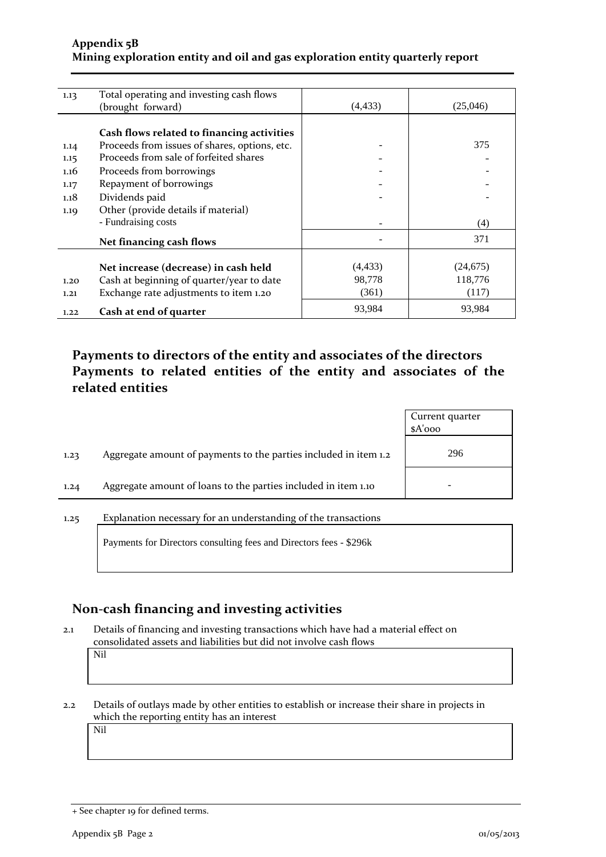### **Appendix 5B Mining exploration entity and oil and gas exploration entity quarterly report**

| 1.13 | Total operating and investing cash flows      |          |           |
|------|-----------------------------------------------|----------|-----------|
|      | (brought forward)                             | (4, 433) | (25,046)  |
|      |                                               |          |           |
|      | Cash flows related to financing activities    |          |           |
| 1.14 | Proceeds from issues of shares, options, etc. |          | 375       |
| 1.15 | Proceeds from sale of forfeited shares        |          |           |
| 1.16 | Proceeds from borrowings                      |          |           |
| 1.17 | Repayment of borrowings                       |          |           |
| 1.18 | Dividends paid                                |          |           |
| 1.19 | Other (provide details if material)           |          |           |
|      | - Fundraising costs                           |          | (4)       |
|      | Net financing cash flows                      |          | 371       |
|      |                                               |          |           |
|      | Net increase (decrease) in cash held          | (4, 433) | (24, 675) |
| 1.20 | Cash at beginning of quarter/year to date     | 98,778   | 118,776   |
| 1.21 | Exchange rate adjustments to item 1.20        | (361)    | (117)     |
| 1.22 | Cash at end of quarter                        | 93,984   | 93,984    |

### **Payments to directors of the entity and associates of the directors Payments to related entities of the entity and associates of the related entities**

|                                                                          | Current quarter<br>$A'$ ooo |
|--------------------------------------------------------------------------|-----------------------------|
| Aggregate amount of payments to the parties included in item 1.2<br>1.23 | 296                         |
| Aggregate amount of loans to the parties included in item 1.10<br>1.24   | -                           |

#### 1.25 Explanation necessary for an understanding of the transactions

Payments for Directors consulting fees and Directors fees - \$296k

### **Non-cash financing and investing activities**

2.1 Details of financing and investing transactions which have had a material effect on consolidated assets and liabilities but did not involve cash flows Nil

2.2 Details of outlays made by other entities to establish or increase their share in projects in which the reporting entity has an interest

Nil

<sup>+</sup> See chapter 19 for defined terms.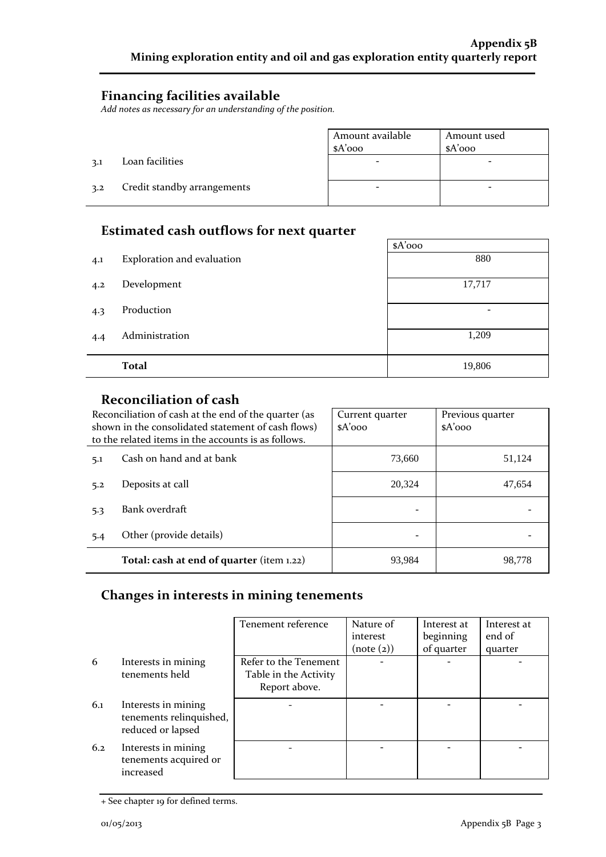### **Financing facilities available**

*Add notes as necessary for an understanding of the position.*

|     |                             | Amount available<br>$A'$ 000 | Amount used<br>$A'$ 000 |
|-----|-----------------------------|------------------------------|-------------------------|
| 3.1 | Loan facilities             |                              |                         |
| 3.2 | Credit standby arrangements | -                            | -                       |

### **Estimated cash outflows for next quarter**

|     |                            | $A'$ 000        |  |  |  |
|-----|----------------------------|-----------------|--|--|--|
| 4.1 | Exploration and evaluation | 880             |  |  |  |
|     |                            |                 |  |  |  |
| 4.2 | Development                | 17,717          |  |  |  |
|     |                            |                 |  |  |  |
| 4.3 | Production                 | $\qquad \qquad$ |  |  |  |
|     |                            |                 |  |  |  |
| 4.4 | Administration             | 1,209           |  |  |  |
|     |                            |                 |  |  |  |
|     | <b>Total</b>               | 19,806          |  |  |  |

### **Reconciliation of cash**

| Reconciliation of cash at the end of the quarter (as<br>shown in the consolidated statement of cash flows)<br>to the related items in the accounts is as follows. |                                           | Current quarter<br>$A'$ 000 | Previous quarter<br>$A'$ 000 |
|-------------------------------------------------------------------------------------------------------------------------------------------------------------------|-------------------------------------------|-----------------------------|------------------------------|
| 5.1                                                                                                                                                               | Cash on hand and at bank                  | 73,660                      | 51,124                       |
| 5.2                                                                                                                                                               | Deposits at call                          | 20.324                      | 47.654                       |
| 5.3                                                                                                                                                               | Bank overdraft                            |                             |                              |
| 5.4                                                                                                                                                               | Other (provide details)                   |                             |                              |
|                                                                                                                                                                   | Total: cash at end of quarter (item 1.22) | 93,984                      | 98,778                       |

### **Changes in interests in mining tenements**

|     |                                                                     | Tenement reference    | Nature of  | Interest at | Interest at |
|-----|---------------------------------------------------------------------|-----------------------|------------|-------------|-------------|
|     |                                                                     |                       | interest   | beginning   | end of      |
|     |                                                                     |                       | (note (2)) | of quarter  | quarter     |
| 6   | Interests in mining                                                 | Refer to the Tenement |            |             |             |
|     | tenements held                                                      | Table in the Activity |            |             |             |
|     |                                                                     | Report above.         |            |             |             |
| 6.1 | Interests in mining<br>tenements relinquished,<br>reduced or lapsed |                       |            |             |             |
| 6.2 | Interests in mining<br>tenements acquired or<br>increased           |                       |            |             |             |

<sup>+</sup> See chapter 19 for defined terms.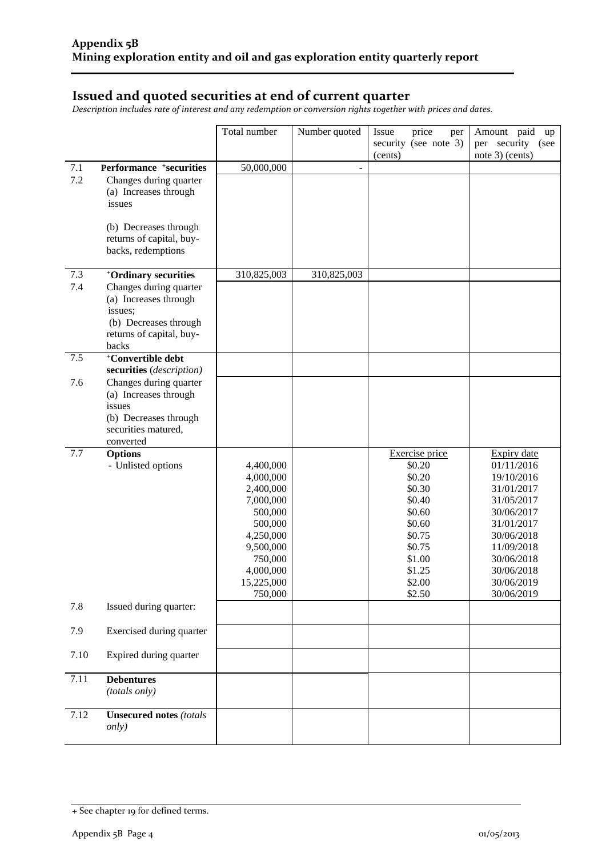### **Issued and quoted securities at end of current quarter**

*Description includes rate of interest and any redemption or conversion rights together with prices and dates.*

|      |                                                           | Total number         | Number quoted | price<br>Issue<br>per | Amount paid<br>up        |
|------|-----------------------------------------------------------|----------------------|---------------|-----------------------|--------------------------|
|      |                                                           |                      |               | security (see note 3) | per security<br>(see     |
|      |                                                           |                      |               | (cents)               | note 3) (cents)          |
| 7.1  | Performance +securities                                   | 50,000,000           | ÷             |                       |                          |
| 7.2  | Changes during quarter                                    |                      |               |                       |                          |
|      | (a) Increases through                                     |                      |               |                       |                          |
|      | issues                                                    |                      |               |                       |                          |
|      |                                                           |                      |               |                       |                          |
|      | (b) Decreases through<br>returns of capital, buy-         |                      |               |                       |                          |
|      | backs, redemptions                                        |                      |               |                       |                          |
|      |                                                           |                      |               |                       |                          |
| 7.3  | <sup>+</sup> Ordinary securities                          | 310,825,003          | 310,825,003   |                       |                          |
| 7.4  | Changes during quarter                                    |                      |               |                       |                          |
|      | (a) Increases through                                     |                      |               |                       |                          |
|      | issues;                                                   |                      |               |                       |                          |
|      | (b) Decreases through                                     |                      |               |                       |                          |
|      | returns of capital, buy-                                  |                      |               |                       |                          |
|      | backs                                                     |                      |               |                       |                          |
| 7.5  | <sup>+</sup> Convertible debt<br>securities (description) |                      |               |                       |                          |
| 7.6  | Changes during quarter                                    |                      |               |                       |                          |
|      | (a) Increases through                                     |                      |               |                       |                          |
|      | issues                                                    |                      |               |                       |                          |
|      | (b) Decreases through                                     |                      |               |                       |                          |
|      | securities matured,                                       |                      |               |                       |                          |
|      | converted                                                 |                      |               |                       |                          |
| 7.7  | <b>Options</b>                                            |                      |               | Exercise price        | Expiry date              |
|      | - Unlisted options                                        | 4,400,000            |               | \$0.20                | 01/11/2016               |
|      |                                                           | 4,000,000            |               | \$0.20                | 19/10/2016               |
|      |                                                           | 2,400,000            |               | \$0.30                | 31/01/2017               |
|      |                                                           | 7,000,000            |               | \$0.40                | 31/05/2017               |
|      |                                                           | 500,000              |               | \$0.60<br>\$0.60      | 30/06/2017<br>31/01/2017 |
|      |                                                           | 500,000<br>4,250,000 |               | \$0.75                | 30/06/2018               |
|      |                                                           | 9,500,000            |               | \$0.75                | 11/09/2018               |
|      |                                                           | 750,000              |               | \$1.00                | 30/06/2018               |
|      |                                                           | 4,000,000            |               | \$1.25                | 30/06/2018               |
|      |                                                           | 15,225,000           |               | \$2.00                | 30/06/2019               |
|      |                                                           | 750,000              |               | \$2.50                | 30/06/2019               |
| 7.8  | Issued during quarter:                                    |                      |               |                       |                          |
| 7.9  | Exercised during quarter                                  |                      |               |                       |                          |
| 7.10 | Expired during quarter                                    |                      |               |                       |                          |
| 7.11 | <b>Debentures</b>                                         |                      |               |                       |                          |
|      | (totals only)                                             |                      |               |                       |                          |
| 7.12 | <b>Unsecured notes (totals)</b>                           |                      |               |                       |                          |
|      | <i>only</i> )                                             |                      |               |                       |                          |

<sup>+</sup> See chapter 19 for defined terms.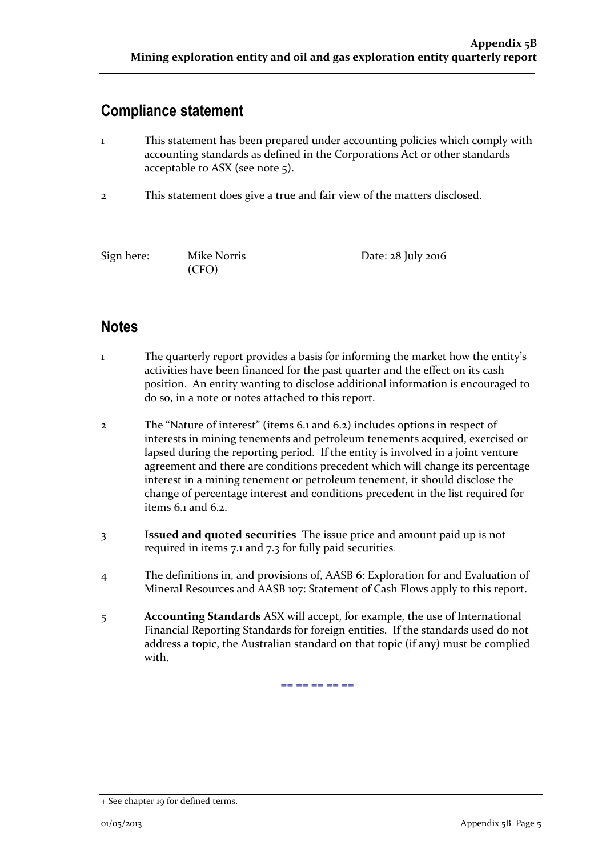### **Compliance statement**

- 1 This statement has been prepared under accounting policies which comply with accounting standards as defined in the Corporations Act or other standards acceptable to ASX (see note 5).
- 2 This statement does give a true and fair view of the matters disclosed.

(CFO)

Sign here: Mike Norris Date: 28 July 2016

### **Notes**

- 1 The quarterly report provides a basis for informing the market how the entity's activities have been financed for the past quarter and the effect on its cash position. An entity wanting to disclose additional information is encouraged to do so, in a note or notes attached to this report.
- 2 The "Nature of interest" (items 6.1 and 6.2) includes options in respect of interests in mining tenements and petroleum tenements acquired, exercised or lapsed during the reporting period. If the entity is involved in a joint venture agreement and there are conditions precedent which will change its percentage interest in a mining tenement or petroleum tenement, it should disclose the change of percentage interest and conditions precedent in the list required for items 6.1 and 6.2.
- 3 **Issued and quoted securities** The issue price and amount paid up is not required in items 7.1 and 7.3 for fully paid securities*.*
- 4 The definitions in, and provisions of, AASB 6: Exploration for and Evaluation of Mineral Resources and AASB 107: Statement of Cash Flows apply to this report.
- 5 **Accounting Standards** ASX will accept, for example, the use of International Financial Reporting Standards for foreign entities. If the standards used do not address a topic, the Australian standard on that topic (if any) must be complied with.

== == == == ==

<sup>+</sup> See chapter 19 for defined terms.